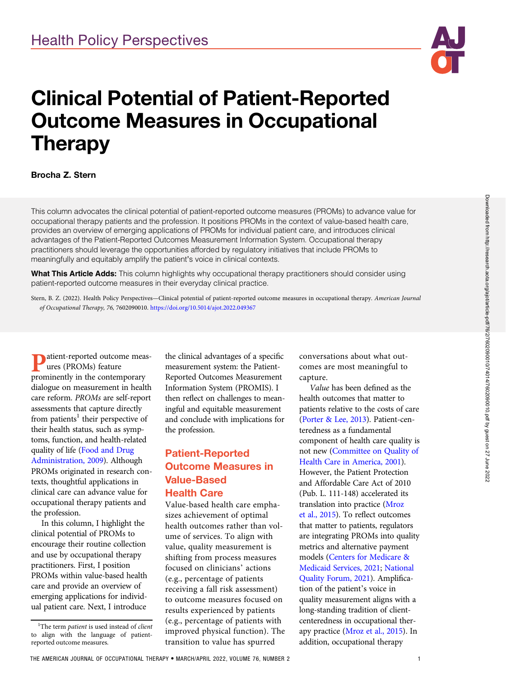# Clinical Potential of Patient-Reported Outcome Measures in Occupational **Therapy**

#### Brocha Z. Stern

This column advocates the clinical potential of patient-reported outcome measures (PROMs) to advance value for occupational therapy patients and the profession. It positions PROMs in the context of value-based health care, provides an overview of emerging applications of PROMs for individual patient care, and introduces clinical advantages of the Patient-Reported Outcomes Measurement Information System. Occupational therapy practitioners should leverage the opportunities afforded by regulatory initiatives that include PROMs to meaningfully and equitably amplify the patient's voice in clinical contexts.

What This Article Adds: This column highlights why occupational therapy practitioners should consider using patient-reported outcome measures in their everyday clinical practice.

Stern, B. Z. (2022). Health Policy Perspectives-Clinical potential of patient-reported outcome measures in occupational therapy. American Journal of Occupational Therapy, 76, 7602090010. https://doi.org/10.5014/ajot.2022.049367

atient-reported outcome measures (PROMs) feature prominently in the contemporary dialogue on measurement in health care reform. PROMs are self-report assessments that capture directly from patients<sup>1</sup> their perspective of their health status, such as symptoms, function, and health-related quality of life ([Food and Drug](#page-3-0) [Administration, 2009](#page-3-0)). Although PROMs originated in research contexts, thoughtful applications in clinical care can advance value for occupational therapy patients and the profession.

In this column, I highlight the clinical potential of PROMs to encourage their routine collection and use by occupational therapy practitioners. First, I position PROMs within value-based health care and provide an overview of emerging applications for individual patient care. Next, I introduce

the clinical advantages of a specific measurement system: the Patient-Reported Outcomes Measurement Information System (PROMIS). I then reflect on challenges to meaningful and equitable measurement and conclude with implications for the profession.

## Patient-Reported Outcome Measures in Value-Based

#### Health Care

Value-based health care emphasizes achievement of optimal health outcomes rather than volume of services. To align with value, quality measurement is shifting from process measures focused on clinicians' actions (e.g., percentage of patients receiving a fall risk assessment) to outcome measures focused on results experienced by patients (e.g., percentage of patients with improved physical function). The transition to value has spurred

conversations about what outcomes are most meaningful to capture.

Value has been defined as the health outcomes that matter to patients relative to the costs of care [\(Porter & Lee, 2013](#page-4-0)). Patient-centeredness as a fundamental component of health care quality is not new [\(Committee on Quality of](#page-3-0) [Health Care in America, 2001\)](#page-3-0). However, the Patient Protection and Affordable Care Act of 2010 (Pub. L. 111-148) accelerated its translation into practice ([Mroz](#page-4-0) [et al., 2015](#page-4-0)). To reflect outcomes that matter to patients, regulators are integrating PROMs into quality metrics and alternative payment models [\(Centers for Medicare &](#page-3-0) [Medicaid Services, 2021;](#page-3-0) [National](#page-4-0) [Quality Forum, 2021\)](#page-4-0). Amplification of the patient's voice in quality measurement aligns with a long-standing tradition of clientcenteredness in occupational therapy practice [\(Mroz et al., 2015](#page-4-0)). In addition, occupational therapy

<sup>&</sup>lt;sup>1</sup>The term patient is used instead of client to align with the language of patientreported outcome measures.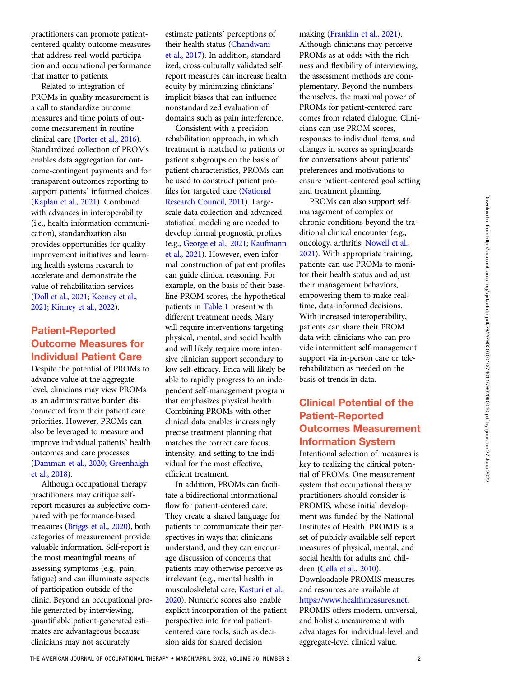practitioners can promote patientcentered quality outcome measures that address real-world participation and occupational performance that matter to patients.

Related to integration of PROMs in quality measurement is a call to standardize outcome measures and time points of outcome measurement in routine clinical care [\(Porter et al., 2016\)](#page-4-0). Standardized collection of PROMs enables data aggregation for outcome-contingent payments and for transparent outcomes reporting to support patients' informed choices [\(Kaplan et al., 2021\)](#page-3-0). Combined with advances in interoperability (i.e., health information communication), standardization also provides opportunities for quality improvement initiatives and learning health systems research to accelerate and demonstrate the value of rehabilitation services [\(Doll et al., 2021](#page-3-0); [Keeney et al.,](#page-4-0) [2021; Kinney et al., 2022\)](#page-4-0).

## Patient-Reported Outcome Measures for Individual Patient Care

Despite the potential of PROMs to advance value at the aggregate level, clinicians may view PROMs as an administrative burden disconnected from their patient care priorities. However, PROMs can also be leveraged to measure and improve individual patients' health outcomes and care processes [\(Damman et al., 2020; Greenhalgh](#page-3-0) [et al., 2018](#page-3-0)).

Although occupational therapy practitioners may critique selfreport measures as subjective compared with performance-based measures [\(Briggs et al., 2020](#page-3-0)), both categories of measurement provide valuable information. Self-report is the most meaningful means of assessing symptoms (e.g., pain, fatigue) and can illuminate aspects of participation outside of the clinic. Beyond an occupational profile generated by interviewing, quantifiable patient-generated estimates are advantageous because clinicians may not accurately

estimate patients' perceptions of their health status [\(Chandwani](#page-3-0) [et al., 2017](#page-3-0)). In addition, standardized, cross-culturally validated selfreport measures can increase health equity by minimizing clinicians' implicit biases that can influence nonstandardized evaluation of domains such as pain interference.

Consistent with a precision rehabilitation approach, in which treatment is matched to patients or patient subgroups on the basis of patient characteristics, PROMs can be used to construct patient profiles for targeted care [\(National](#page-4-0) [Research Council, 2011\)](#page-4-0). Largescale data collection and advanced statistical modeling are needed to develop formal prognostic profiles (e.g., [George et al., 2021;](#page-3-0) [Kaufmann](#page-4-0) [et al., 2021](#page-4-0)). However, even informal construction of patient profiles can guide clinical reasoning. For example, on the basis of their baseline PROM scores, the hypothetical patients in Table 1 present with different treatment needs. Mary will require interventions targeting physical, mental, and social health and will likely require more intensive clinician support secondary to low self-efficacy. Erica will likely be able to rapidly progress to an independent self-management program that emphasizes physical health. Combining PROMs with other clinical data enables increasingly precise treatment planning that matches the correct care focus, intensity, and setting to the individual for the most effective, efficient treatment.

In addition, PROMs can facilitate a bidirectional informational flow for patient-centered care. They create a shared language for patients to communicate their perspectives in ways that clinicians understand, and they can encourage discussion of concerns that patients may otherwise perceive as irrelevant (e.g., mental health in musculoskeletal care; [Kasturi et al.,](#page-4-0) [2020](#page-4-0)). Numeric scores also enable explicit incorporation of the patient perspective into formal patientcentered care tools, such as decision aids for shared decision

making [\(Franklin et al., 2021\)](#page-3-0).

Although clinicians may perceive PROMs as at odds with the richness and flexibility of interviewing, the assessment methods are complementary. Beyond the numbers themselves, the maximal power of PROMs for patient-centered care comes from related dialogue. Clinicians can use PROM scores, responses to individual items, and changes in scores as springboards for conversations about patients' preferences and motivations to ensure patient-centered goal setting and treatment planning.

PROMs can also support selfmanagement of complex or chronic conditions beyond the traditional clinical encounter (e.g., oncology, arthritis; [Nowell et al.,](#page-4-0) [2021](#page-4-0)). With appropriate training, patients can use PROMs to monitor their health status and adjust their management behaviors, empowering them to make realtime, data-informed decisions. With increased interoperability, patients can share their PROM data with clinicians who can provide intermittent self-management support via in-person care or telerehabilitation as needed on the basis of trends in data.

## Clinical Potential of the Patient-Reported Outcomes Measurement Information System

Intentional selection of measures is key to realizing the clinical potential of PROMs. One measurement system that occupational therapy practitioners should consider is PROMIS, whose initial development was funded by the National Institutes of Health. PROMIS is a set of publicly available self-report measures of physical, mental, and social health for adults and children [\(Cella et al., 2010\)](#page-3-0).

Downloadable PROMIS measures and resources are available at

#### <https://www.healthmeasures.net>.

PROMIS offers modern, universal, and holistic measurement with advantages for individual-level and aggregate-level clinical value.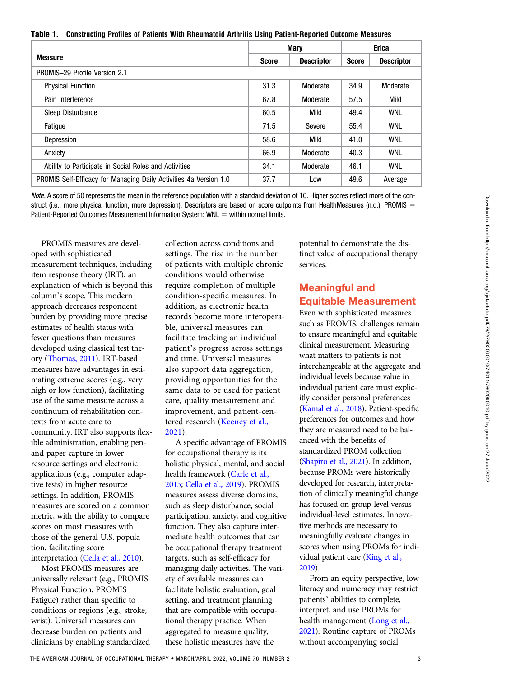Table 1. Constructing Profiles of Patients With Rheumatoid Arthritis Using Patient-Reported Outcome Measures

|                                                                   | <b>Mary</b>  |                   | <b>Erica</b> |                   |
|-------------------------------------------------------------------|--------------|-------------------|--------------|-------------------|
| <b>Measure</b>                                                    | <b>Score</b> | <b>Descriptor</b> | <b>Score</b> | <b>Descriptor</b> |
| PROMIS-29 Profile Version 2.1                                     |              |                   |              |                   |
| <b>Physical Function</b>                                          | 31.3         | Moderate          | 34.9         | Moderate          |
| Pain Interference                                                 | 67.8         | Moderate          | 57.5         | Mild              |
| Sleep Disturbance                                                 | 60.5         | Mild              | 49.4         | <b>WNL</b>        |
| Fatique                                                           | 71.5         | Severe            | 55.4         | <b>WNL</b>        |
| Depression                                                        | 58.6         | Mild              | 41.0         | <b>WNL</b>        |
| Anxiety                                                           | 66.9         | Moderate          | 40.3         | <b>WNL</b>        |
| Ability to Participate in Social Roles and Activities             | 34.1         | Moderate          | 46.1         | <b>WNL</b>        |
| PROMIS Self-Efficacy for Managing Daily Activities 4a Version 1.0 | 37.7         | Low               | 49.6         | Average           |

Note. A score of 50 represents the mean in the reference population with a standard deviation of 10. Higher scores reflect more of the construct (i.e., more physical function, more depression). Descriptors are based on score cutpoints from HealthMeasures (n.d.). PROMIS = Patient-Reported Outcomes Measurement Information System; WNL  $=$  within normal limits.

PROMIS measures are developed with sophisticated measurement techniques, including item response theory (IRT), an explanation of which is beyond this column's scope. This modern approach decreases respondent burden by providing more precise estimates of health status with fewer questions than measures developed using classical test theory [\(Thomas, 2011](#page-4-0)). IRT-based measures have advantages in estimating extreme scores (e.g., very high or low function), facilitating use of the same measure across a continuum of rehabilitation contexts from acute care to community. IRT also supports flexible administration, enabling penand-paper capture in lower resource settings and electronic applications (e.g., computer adaptive tests) in higher resource settings. In addition, PROMIS measures are scored on a common metric, with the ability to compare scores on most measures with those of the general U.S. population, facilitating score interpretation [\(Cella et al., 2010](#page-3-0)).

Most PROMIS measures are universally relevant (e.g., PROMIS Physical Function, PROMIS Fatigue) rather than specific to conditions or regions (e.g., stroke, wrist). Universal measures can decrease burden on patients and clinicians by enabling standardized collection across conditions and settings. The rise in the number of patients with multiple chronic conditions would otherwise require completion of multiple condition-specific measures. In addition, as electronic health records become more interoperable, universal measures can facilitate tracking an individual patient's progress across settings and time. Universal measures also support data aggregation, providing opportunities for the same data to be used for patient care, quality measurement and improvement, and patient-centered research [\(Keeney et al.,](#page-4-0) [2021](#page-4-0)).

A specific advantage of PROMIS for occupational therapy is its holistic physical, mental, and social health framework [\(Carle et al.,](#page-3-0) [2015](#page-3-0); [Cella et al., 2019\)](#page-3-0). PROMIS measures assess diverse domains, such as sleep disturbance, social participation, anxiety, and cognitive function. They also capture intermediate health outcomes that can be occupational therapy treatment targets, such as self-efficacy for managing daily activities. The variety of available measures can facilitate holistic evaluation, goal setting, and treatment planning that are compatible with occupational therapy practice. When aggregated to measure quality, these holistic measures have the

potential to demonstrate the distinct value of occupational therapy services.

## Meaningful and Equitable Measurement

Even with sophisticated measures such as PROMIS, challenges remain to ensure meaningful and equitable clinical measurement. Measuring what matters to patients is not interchangeable at the aggregate and individual levels because value in individual patient care must explicitly consider personal preferences [\(Kamal et al., 2018\)](#page-3-0). Patient-specific preferences for outcomes and how they are measured need to be balanced with the benefits of standardized PROM collection [\(Shapiro et al., 2021](#page-4-0)). In addition, because PROMs were historically developed for research, interpretation of clinically meaningful change has focused on group-level versus individual-level estimates. Innovative methods are necessary to meaningfully evaluate changes in scores when using PROMs for individual patient care [\(King et al.,](#page-4-0) [2019](#page-4-0)).

From an equity perspective, low literacy and numeracy may restrict patients' abilities to complete, interpret, and use PROMs for health management ([Long et al.,](#page-4-0) [2021](#page-4-0)). Routine capture of PROMs without accompanying social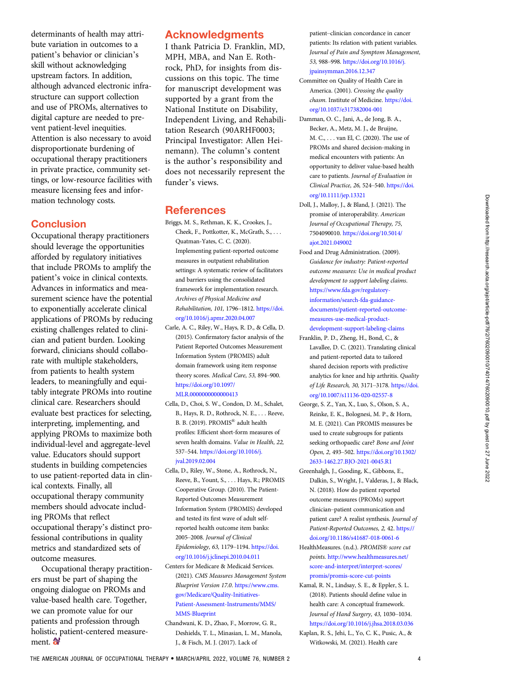<span id="page-3-0"></span>determinants of health may attribute variation in outcomes to a patient's behavior or clinician's skill without acknowledging upstream factors. In addition, although advanced electronic infrastructure can support collection and use of PROMs, alternatives to digital capture are needed to prevent patient-level inequities. Attention is also necessary to avoid disproportionate burdening of occupational therapy practitioners in private practice, community settings, or low-resource facilities with measure licensing fees and information technology costs.

### **Conclusion**

Occupational therapy practitioners should leverage the opportunities afforded by regulatory initiatives that include PROMs to amplify the patient's voice in clinical contexts. Advances in informatics and measurement science have the potential to exponentially accelerate clinical applications of PROMs by reducing existing challenges related to clinician and patient burden. Looking forward, clinicians should collaborate with multiple stakeholders, from patients to health system leaders, to meaningfully and equitably integrate PROMs into routine clinical care. Researchers should evaluate best practices for selecting, interpreting, implementing, and applying PROMs to maximize both individual-level and aggregate-level value. Educators should support students in building competencies to use patient-reported data in clinical contexts. Finally, all occupational therapy community members should advocate including PROMs that reflect occupational therapy's distinct professional contributions in quality metrics and standardized sets of outcome measures.

Occupational therapy practitioners must be part of shaping the ongoing dialogue on PROMs and value-based health care. Together, we can promote value for our patients and profession through holistic, patient-centered measurement.

## Acknowledgments

I thank Patricia D. Franklin, MD, MPH, MBA, and Nan E. Rothrock, PhD, for insights from discussions on this topic. The time for manuscript development was supported by a grant from the National Institute on Disability, Independent Living, and Rehabilitation Research (90ARHF0003; Principal Investigator: Allen Heinemann). The column's content is the author's responsibility and does not necessarily represent the funder's views.

#### **References**

- Briggs, M. S., Rethman, K. K., Crookes, J., Cheek, F., Pottkotter, K., McGrath, S., . . . Quatman-Yates, C. C. (2020). Implementing patient-reported outcome measures in outpatient rehabilitation settings: A systematic review of facilitators and barriers using the consolidated framework for implementation research. Archives of Physical Medicine and Rehabilitation, 101, 1796–1812. [https://doi.](https://doi.org/10.1016/j.apmr.2020.04.007) [org/10.1016/j.apmr.2020.04.007](https://doi.org/10.1016/j.apmr.2020.04.007)
- Carle, A. C., Riley, W., Hays, R. D., & Cella, D. (2015). Confirmatory factor analysis of the Patient Reported Outcomes Measurement Information System (PROMIS) adult domain framework using item response theory scores. Medical Care, 53, 894–900. [https://doi.org/10.1097/](https://doi.org/10.1097/MLR.0000000000000413) MLR.00000000000000413
- Cella, D., Choi, S. W., Condon, D. M., Schalet, B., Hays, R. D., Rothrock, N. E., . . . Reeve, B. B. (2019). PROMIS® adult health profiles: Efficient short-form measures of seven health domains. Value in Health, 22, 537–544. [https://doi.org/10.1016/j.](https://doi.org/10.1016/j.jval.2019.02.004) [jval.2019.02.004](https://doi.org/10.1016/j.jval.2019.02.004)
- Cella, D., Riley, W., Stone, A., Rothrock, N., Reeve, B., Yount, S., . . . Hays, R.; PROMIS Cooperative Group. (2010). The Patient-Reported Outcomes Measurement Information System (PROMIS) developed and tested its first wave of adult selfreported health outcome item banks: 2005–2008. Journal of Clinical Epidemiology, 63, 1179–1194. [https://doi.](https://doi.org/10.1016/j.jclinepi.2010.04.011) [org/10.1016/j.jclinepi.2010.04.011](https://doi.org/10.1016/j.jclinepi.2010.04.011)
- Centers for Medicare & Medicaid Services. (2021). CMS Measures Management System Blueprint Version 17.0. [https://www.cms.](https://www.cms.gov/Medicare/Quality-Initiatives-Patient-Assessment-Instruments/MMS/MMS-Blueprint) [gov/Medicare/Quality-Initiatives-](https://www.cms.gov/Medicare/Quality-Initiatives-Patient-Assessment-Instruments/MMS/MMS-Blueprint)[Patient-Assessment-Instruments/MMS/](https://www.cms.gov/Medicare/Quality-Initiatives-Patient-Assessment-Instruments/MMS/MMS-Blueprint) [MMS-Blueprint](https://www.cms.gov/Medicare/Quality-Initiatives-Patient-Assessment-Instruments/MMS/MMS-Blueprint)
- Chandwani, K. D., Zhao, F., Morrow, G. R., Deshields, T. L., Minasian, L. M., Manola, J., & Fisch, M. J. (2017). Lack of

patient–clinician concordance in cancer patients: Its relation with patient variables. Journal of Pain and Symptom Management, 53, 988–998. [https://doi.org/10.1016/j.](https://doi.org/10.1016/j.jpainsymman.2016.12.347) [jpainsymman.2016.12.347](https://doi.org/10.1016/j.jpainsymman.2016.12.347)

- Committee on Quality of Health Care in America. (2001). Crossing the quality chasm. Institute of Medicine. [https://doi.](https://doi.org/10.1037/e317382004-001) [org/10.1037/e317382004-001](https://doi.org/10.1037/e317382004-001)
- Damman, O. C., Jani, A., de Jong, B. A., Becker, A., Metz, M. J., de Bruijne, M. C., . . . van El, C. (2020). The use of PROMs and shared decision-making in medical encounters with patients: An opportunity to deliver value-based health care to patients. Journal of Evaluation in Clinical Practice, 26, 524–540. [https://doi.](https://doi.org/10.1111/jep.13321) [org/10.1111/jep.13321](https://doi.org/10.1111/jep.13321)
- Doll, J., Malloy, J., & Bland, J. (2021). The promise of interoperability. American Journal of Occupational Therapy, 75, 7504090010. [https://doi.org/10.5014/](https://doi.org/10.5014/ajot.2021.049002) [ajot.2021.049002](https://doi.org/10.5014/ajot.2021.049002)
- Food and Drug Administration. (2009). Guidance for industry: Patient-reported outcome measures: Use in medical product development to support labeling claims. [https://www.fda.gov/regulatory](https://www.fda.gov/regulatory-information/search-fda-guidance-documents/patient-reported-outcome-measures-use-medical-product-development-support-labeling-claims)[information/search-fda-guidance](https://www.fda.gov/regulatory-information/search-fda-guidance-documents/patient-reported-outcome-measures-use-medical-product-development-support-labeling-claims)[documents/patient-reported-outcome](https://www.fda.gov/regulatory-information/search-fda-guidance-documents/patient-reported-outcome-measures-use-medical-product-development-support-labeling-claims)[measures-use-medical-product](https://www.fda.gov/regulatory-information/search-fda-guidance-documents/patient-reported-outcome-measures-use-medical-product-development-support-labeling-claims)[development-support-labeling-claims](https://www.fda.gov/regulatory-information/search-fda-guidance-documents/patient-reported-outcome-measures-use-medical-product-development-support-labeling-claims)
- Franklin, P. D., Zheng, H., Bond, C., & Lavallee, D. C. (2021). Translating clinical and patient-reported data to tailored shared decision reports with predictive analytics for knee and hip arthritis. Quality of Life Research, 30, 3171–3178. [https://doi.](https://doi.org/10.1007/s11136-020-02557-8) [org/10.1007/s11136-020-02557-8](https://doi.org/10.1007/s11136-020-02557-8)
- George, S. Z., Yan, X., Luo, S., Olson, S. A., Reinke, E. K., Bolognesi, M. P., & Horn, M. E. (2021). Can PROMIS measures be used to create subgroups for patients seeking orthopaedic care? Bone and Joint Open, 2, 493–502. [https://doi.org/10.1302/](https://doi.org/10.1302/2633-1462.27.BJO-2021-0045.R1) [2633-1462.27.BJO-2021-0045.R1](https://doi.org/10.1302/2633-1462.27.BJO-2021-0045.R1)
- Greenhalgh, J., Gooding, K., Gibbons, E., Dalkin, S., Wright, J., Valderas, J., & Black, N. (2018). How do patient reported outcome measures (PROMs) support clinician–patient communication and patient care? A realist synthesis. Journal of Patient-Reported Outcomes, 2, 42. [https://](https://doi.org/10.1186/s41687-018-0061-6) [doi.org/10.1186/s41687-018-0061-6](https://doi.org/10.1186/s41687-018-0061-6)
- HealthMeasures. (n.d.). PROMIS® score cut points. [http://www.healthmeasures.net/](http://www.healthmeasures.net/score-and-interpret/interpret-scores/promis/promis-score-cut-points) [score-and-interpret/interpret-scores/](http://www.healthmeasures.net/score-and-interpret/interpret-scores/promis/promis-score-cut-points) [promis/promis-score-cut-points](http://www.healthmeasures.net/score-and-interpret/interpret-scores/promis/promis-score-cut-points)
- Kamal, R. N., Lindsay, S. E., & Eppler, S. L. (2018). Patients should define value in health care: A conceptual framework. Journal of Hand Surgery, 43, 1030–1034. <https://doi.org/10.1016/j.jhsa.2018.03.036>
- Kaplan, R. S., Jehi, L., Yo, C. K., Pusic, A., & Witkowski, M. (2021). Health care